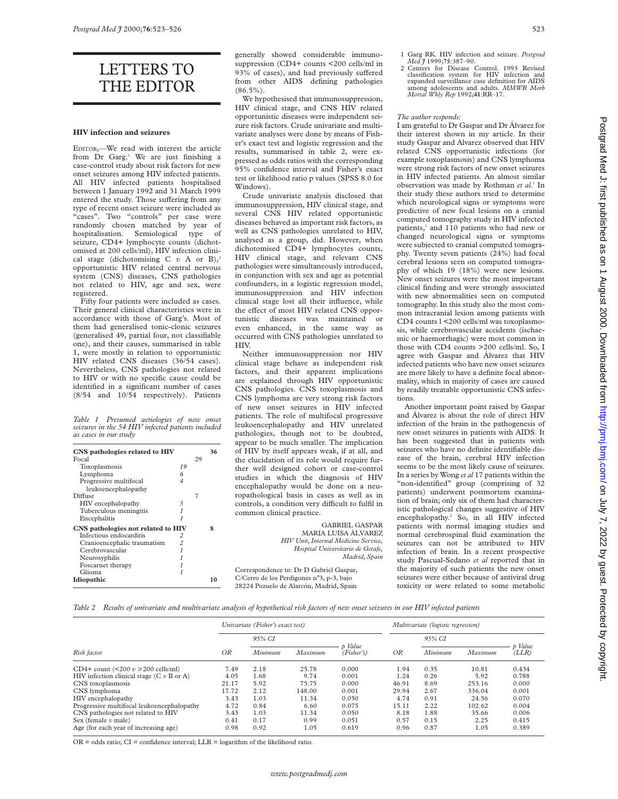## LETTERS TO THE EDITOR

### **HIV infection and seizures**

EDITOR,—We read with interest the article from Dr Garg.<sup>1</sup> We are just finishing a case-control study about risk factors for new onset seizures among HIV infected patients. All HIV infected patients hospitalised between 1 January 1992 and 31 March 1999 entered the study. Those suffering from any type of recent onset seizure were included as "cases". Two "controls" per case were randomly chosen matched by year of hospitalisation. Semiological type of seizure, CD4+ lymphocyte counts (dichotomised at 200 cells/ml), HIV infection clinical stage (dichotomising C  $v$  A or B),<sup>2</sup> opportunistic HIV related central nervous system (CNS) diseases, CNS pathologies not related to HIV, age and sex, were registered.

Fifty four patients were included as cases. Their general clinical characteristics were in accordance with those of Garg's. Most of them had generalised tonic-clonic seizures (generalised 49, partial four, not classifiable one), and their causes, summarised in table 1, were mostly in relation to opportunistic HIV related CNS diseases (36/54 cases). Nevertheless, CNS pathologies not related to HIV or with no specific cause could be identified in a significant number of cases (8/54 and 10/54 respectively). Patients

*Table 1 Presumed aetiologies of new onset seizures in the 54 HIV infected patients included as cases in our study*

| CNS pathologies related to HIV     |                          |    | 36 |
|------------------------------------|--------------------------|----|----|
| Focal                              |                          | 29 |    |
| Toxoplasmosis                      | 19                       |    |    |
| Lymphoma                           | 6                        |    |    |
| Progressive multifocal             | 4                        |    |    |
| leukoencephalopathy                |                          |    |    |
| Diffuse                            |                          |    |    |
| HIV encephalopathy                 | 5                        |    |    |
| Tuberculous meningitis             |                          |    |    |
| Encephalitis                       |                          |    |    |
| CNS pathologies not related to HIV |                          |    | я  |
| Infectious endocarditis            | 2                        |    |    |
| Cranioencephalic traumatism        | $\overline{\mathcal{L}}$ |    |    |
| Cerebrovascular                    |                          |    |    |
| Neurosyphilis                      |                          |    |    |
| Foscarnet therapy                  |                          |    |    |
| Glioma                             |                          |    |    |
| Idiopathic                         |                          |    | 10 |

generally showed considerable immunosuppression (CD4+ counts <200 cells/ml in 93% of cases), and had previously suffered from other AIDS defining pathologies  $(86.5\%)$ .

We hypothesised that immunosuppression, HIV clinical stage, and CNS HIV related opportunistic diseases were independent seizure risk factors. Crude univariate and multivariate analyses were done by means of Fisher's exact test and logistic regression and the results, summarised in table 2, were expressed as odds ratios with the corresponding 95% confidence interval and Fisher's exact test or likelihood ratio p values (SPSS 8.0 for Windows).

Crude univariate analysis disclosed that immunosuppression, HIV clinical stage, and several CNS HIV related opportunistic diseases behaved as important risk factors, as well as CNS pathologies unrelated to HIV, analysed as a group, did. However, when dichotomised CD4+ lymphocytes counts, HIV clinical stage, and relevant CNS pathologies were simultaneously introduced, in conjunction with sex and age as potential confounders, in a logistic regression model, immunosuppression and HIV infection clinical stage lost all their influence, while the effect of most HIV related CNS opportunistic diseases was maintained or even enhanced, in the same way as occurred with CNS pathologies unrelated to HIV.

Neither immunosuppression nor HIV clinical stage behave as independent risk factors, and their apparent implications are explained through HIV opportunistic CNS pathologies. CNS toxoplasmosis and CNS lymphoma are very strong risk factors of new onset seizures in HIV infected patients. The role of multifocal progressive leukoencephalopathy and HIV unrelated pathologies, though not to be doubted, appear to be much smaller. The implication of HIV by itself appears weak, if at all, and the elucidation of its role would require further well designed cohort or case-control studies in which the diagnosis of HIV encephalopathy would be done on a neuropathological basis in cases as well as in controls, a condition very difficult to fulfil in common clinical practice.

> GABRIEL GASPAR MARIA LUISA ÁLVAREZ *HIV Unit, Internal Medicine Service, Hospital Universitario de Getafe, Madrid, Spain*

Correspondence to: Dr D Gabriel Gaspar, C/Cerro de los Perdigones n°3, p-3, bajo 28224 Pozuelo de Alarcón, Madrid, Spain

- 1 Garg RK. HIV infection and seizure. *Postgrad Med J* 1999;**75**:387–90.
- 2 Centers for Disease Control. 1993 Revised<br>classification system for HIV infection and classification system for HIV infection and expanded surveillance case definition for AIDS among adolescents and adults. *MMWR Morb Mortal Wkly Rep* 1992;**41**:RR–17.

### *The author responds:*

I am grateful to Dr Gaspar and Dr Álvarez for their interest shown in my article. In their study Gaspar and Alvarez observed that HIV related CNS opportunistic infections (for example toxoplasmosis) and CNS lymphoma were strong risk factors of new onset seizures in HIV infected patients. An almost similar observation was made by Rothman *et al*. <sup>1</sup> In their study these authors tried to determine which neurological signs or symptoms were predictive of new focal lesions on a cranial computed tomography study in HIV infected patients,<sup>1</sup> and 110 patients who had new or changed neurological signs or symptoms were subjected to cranial computed tomography. Twenty seven patients (24%) had focal cerebral lesions seen on computed tomography of which 19 (18%) were new lesions. New onset seizures were the most important clinical finding and were strongly associated with new abnormalities seen on computed tomography. In this study also the most common intracranial lesion among patients with CD4 counts l <200 cells/ml was toxoplasmosis, while cerebrovascular accidents (ischaemic or haemorrhagic) were most common in those with CD4 counts >200 cells/ml. So, I agree with Gaspar and Álvarez that HIV infected patients who have new onset seizures are more likely to have a definite focal abnormality, which in majority of cases are caused by readily treatable opportunistic CNS infections.

Another important point raised by Gaspar and Álvarez is about the role of direct HIV infection of the brain in the pathogenesis of new onset seizures in patients with AIDS. It has been suggested that in patients with seizures who have no definite identifiable disease of the brain, cerebral HIV infection seems to be the most likely cause of seizures. In a series by Wong *et al* 17 patients within the "non-identified" group (comprising of 32 patients) underwent postmortem examination of brain; only six of them had characteristic pathological changes suggestive of HIV encephalopathy.<sup>2</sup> So, in all HIV infected patients with normal imaging studies and normal cerebrospinal fluid examination the seizures can not be attributed to HIV infection of brain. In a recent prospective study Pascual-Sedano *et al* reported that in the majority of such patients the new onset seizures were either because of antiviral drug toxicity or were related to some metabolic

*Table 2 Results of univariate and multivariate analysis of hypothetical risk factors of new onset seizures in our HIV infected patients*

|                                             | Univariate (Fisher's exact test) |         |         |                       | Multivariate (logistic regression) |         |         |                  |
|---------------------------------------------|----------------------------------|---------|---------|-----------------------|------------------------------------|---------|---------|------------------|
|                                             |                                  | 95% CI  |         |                       |                                    | 95% CI  |         |                  |
| Risk factor                                 | OR.                              | Minimum | Maximum | p Value<br>(Fisher's) | <b>OR</b>                          | Minimum | Maximum | p Value<br>(LLR) |
| CD4+ count (<200 $v \ge 200$ cells/ml)      | 7.49                             | 2.18    | 25.78   | 0.000                 | 1.94                               | 0.35    | 10.81   | 0.434            |
| HIV infection clinical stage (C $v$ B or A) | 4.05                             | 1.68    | 9.74    | 0.001                 | 1.24                               | 0.26    | 5.92    | 0.788            |
| CNS toxoplasmosis                           | 21.17                            | 5.92    | 75.75   | 0.000                 | 46.91                              | 8.69    | 253.16  | 0.000            |
| CNS lymphoma                                | 17.72                            | 2.12    | 148.00  | 0.001                 | 29.94                              | 2.67    | 336.04  | 0.001            |
| HIV encephalopathy                          | 3.43                             | 1.03    | 11.34   | 0.050                 | 4.74                               | 0.91    | 24.56   | 0.070            |
| Progressive multifocal leukoencephalopathy  | 4.72                             | 0.84    | 6.60    | 0.075                 | 15.11                              | 2.22    | 102.62  | 0.004            |
| CNS pathologies not related to HIV          | 3.43                             | 1.03    | 11.34   | 0.050                 | 8.18                               | 1.88    | 35.66   | 0.006            |
| Sex (female $v$ male)                       | 0.41                             | 0.17    | 0.99    | 0.051                 | 0.57                               | 0.15    | 2.25    | 0.415            |
| Age (for each year of increasing age)       | 0.98                             | 0.92    | 1.05    | 0.619                 | 0.96                               | 0.87    | 1.05    | 0.389            |

OR = odds ratio; CI = confidence interval; LLR = logarithm of the likelihood ratio.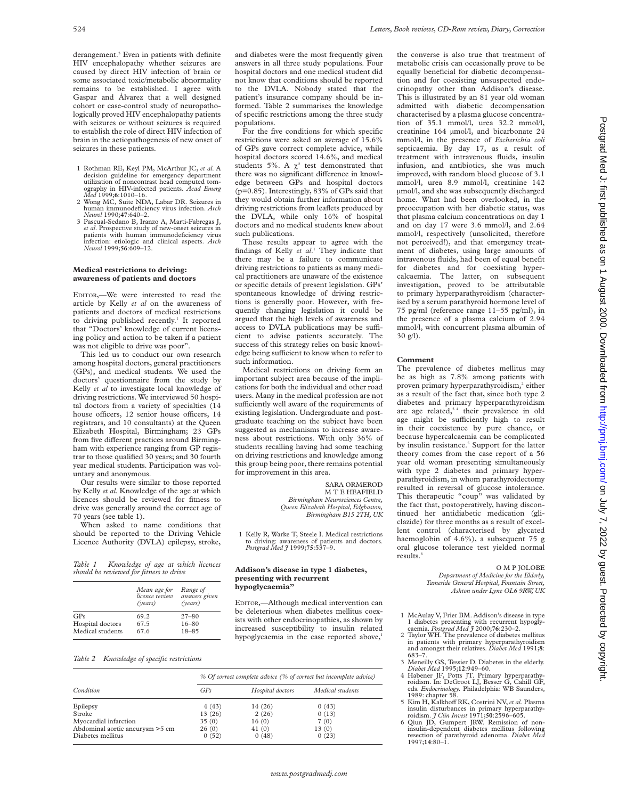the converse is also true that treatment of metabolic crisis can occasionally prove to be

derangement.<sup>3</sup> Even in patients with definite HIV encephalopathy whether seizures are caused by direct HIV infection of brain or some associated toxic/metabolic abnormality remains to be established. I agree with Gaspar and Álvarez that a well designed cohort or case-control study of neuropathologically proved HIV encephalopathy patients with seizures or without seizures is required to establish the role of direct HIV infection of brain in the aetiopathogenesis of new onset of seizures in these patients.

- 1 Rothman RE, Keyl PM, McArthur JC, *et al*. A decision guideline for emergency department utilization of noncontrast head computed tomography in HIV-infected patients. *Acad Emerg*
- *Med* 1999;**6**:1010–16. 2 Wong MC, Suite NDA, Labar DR. Seizures in human immunodeficiency virus infection. *Arch Neurol* 1990;**47**:640–2.
- 3 Pascual-Sedano B, Iranzo A, Marti-Fabregas J, *et al*. Prospective study of new-onset seizures in patients with human immunodeficiency virus infection: etiologic and clinical aspects. *Arch Neurol* 1999;**56**:609–12.

### **Medical restrictions to driving: awareness of patients and doctors**

EDITOR,—We were interested to read the article by Kelly *et al* on the awareness of patients and doctors of medical restrictions to driving published recently.<sup>1</sup> It reported that "Doctors' knowledge of current licensing policy and action to be taken if a patient was not eligible to drive was poor".

This led us to conduct our own research among hospital doctors, general practitioners (GPs), and medical students. We used the doctors' questionnaire from the study by Kelly *et al* to investigate local knowledge of driving restrictions. We interviewed 50 hospital doctors from a variety of specialties (14 house officers, 12 senior house officers, 14 registrars, and 10 consultants) at the Queen Elizabeth Hospital, Birmingham; 23 GPs from five different practices around Birmingham with experience ranging from GP registrar to those qualified 30 years; and 30 fourth year medical students. Participation was voluntary and anonymous.

Our results were similar to those reported by Kelly *et al*. Knowledge of the age at which licences should be reviewed for fitness to drive was generally around the correct age of 70 years (see table 1).

When asked to name conditions that should be reported to the Driving Vehicle Licence Authority (DVLA) epilepsy, stroke,

*Table 1 Knowledge of age at which licences should be reviewed for fitness to drive*

|                  | Mean age for<br>licence review<br>(vears) | Range of<br>answers given<br>(years) |
|------------------|-------------------------------------------|--------------------------------------|
| GPs              | 69.2                                      | $27 - 80$                            |
| Hospital doctors | 67.5                                      | $16 - 80$                            |
| Medical students | 67.6                                      | $18 - 85$                            |

*Table 2 Knowledge of specific restrictions*

| % Of correct complete advice (% of correct but incomplete advice) |                  |                  |  |  |
|-------------------------------------------------------------------|------------------|------------------|--|--|
| GP <sub>S</sub>                                                   | Hospital doctors | Medical students |  |  |
| 4(43)                                                             | 14 (26)          | 0(43)            |  |  |
| 13(26)                                                            | 2(26)            | 0(13)            |  |  |
| 35(0)                                                             | 16(0)            | 7(0)             |  |  |
| 26(0)                                                             | 41(0)            | 13(0)            |  |  |
| 0(52)                                                             | 0(48)            | 0(23)            |  |  |
|                                                                   |                  |                  |  |  |

and diabetes were the most frequently given answers in all three study populations. Four hospital doctors and one medical student did not know that conditions should be reported to the DVLA. Nobody stated that the patient's insurance company should be informed. Table 2 summarises the knowledge of specific restrictions among the three study populations.

For the five conditions for which specific restrictions were asked an average of 15.6% of GPs gave correct complete advice, while hospital doctors scored 14.6%, and medical students 5%. A  $\chi^2$  test demonstrated that there was no significant difference in knowledge between GPs and hospital doctors (p=0.85). Interestingly, 83% of GPs said that they would obtain further information about driving restrictions from leaflets produced by the DVLA, while only 16% of hospital doctors and no medical students knew about such publications.

These results appear to agree with the findings of Kelly *et al*. <sup>1</sup> They indicate that there may be a failure to communicate driving restrictions to patients as many medical practitioners are unaware of the existence or specific details of present legislation. GPs' spontaneous knowledge of driving restrictions is generally poor. However, with frequently changing legislation it could be argued that the high levels of awareness and access to DVLA publications may be sufficient to advise patients accurately. The success of this strategy relies on basic knowledge being sufficient to know when to refer to such information.

Medical restrictions on driving form an important subject area because of the implications for both the individual and other road users. Many in the medical profession are not sufficiently well aware of the requirements of existing legislation. Undergraduate and postgraduate teaching on the subject have been suggested as mechanisms to increase awareness about restrictions. With only 36% of students recalling having had some teaching on driving restrictions and knowledge among this group being poor, there remains potential for improvement in this area.

> SARA ORMEROD M T E HEAFIELD *Birmingham Neurosciences Centre, Queen Elizabeth Hospital, Edgbaston, Birmingham B15 2TH, UK*

1 Kelly R, Warke T, Steele I. Medical restrictions to driving: awareness of patients and doctors. *Postgrad Med J* 1999;**75**:537–9.

### **Addison's disease in type 1 diabetes, presenting with recurrent hypoglycaemia"**

EDITOR,—Although medical intervention can be deleterious when diabetes mellitus coexists with other endocrinopathies, as shown by increased susceptibility to insulin related hypoglycaemia in the case reported above,<sup>1</sup>

equally beneficial for diabetic decompensation and for coexisting unsuspected endocrinopathy other than Addison's disease. This is illustrated by an 81 year old woman admitted with diabetic decompensation characterised by a plasma glucose concentration of 35.1 mmol/l, urea 32.2 mmol/l, creatinine 164 µmol/l, and bicarbonate 24 mmol/l, in the presence of *Escherichia coli* septicaemia. By day 17, as a result of treatment with intravenous fluids, insulin infusion, and antibiotics, she was much improved, with random blood glucose of 3.1 mmol/l, urea 8.9 mmol/l, creatinine 142 µmol/l, and she was subsequently discharged home. What had been overlooked, in the preoccupation with her diabetic status, was that plasma calcium concentrations on day 1 and on day 17 were 3.6 mmol/l, and 2.64 mmol/l, respectively (unsolicited, therefore not perceived!), and that emergency treatment of diabetes, using large amounts of intravenous fluids, had been of equal benefit for diabetes and for coexisting hypercalcaemia. The latter, on subsequent investigation, proved to be attributable to primary hyperparathyroidism (characterised by a serum parathyroid hormone level of 75 pg/ml (reference range 11–55 pg/ml), in the presence of a plasma calcium of 2.94 mmol/l, with concurrent plasma albumin of 30 g/l).

### **Comment**

The prevalence of diabetes mellitus may be as high as 7.8% among patients with proven primary hyperparathyroidism,<sup>2</sup> either as a result of the fact that, since both type 2 diabetes and primary hyperparathyroidism are age related,<sup>34</sup> their prevalence in old age might be sufficiently high to result in their coexistence by pure chance, or because hypercalcaemia can be complicated by insulin resistance.<sup>5</sup> Support for the latter theory comes from the case report of a 56 year old woman presenting simultaneously with type 2 diabetes and primary hyperparathyroidism, in whom parathyroidectomy resulted in reversal of glucose intolerance. This therapeutic "coup" was validated by the fact that, postoperatively, having discontinued her antidiabetic medication (gliclazide) for three months as a result of excellent control (characterised by glycated haemoglobin of 4.6%), a subsequent 75 g oral glucose tolerance test yielded normal results.<sup>6</sup>

O M P JOLOBE

*Department of Medicine for the Elderly, Tameside General Hospital, Fountain Street, Ashton under Lyne OL6 9RW, UK*

1 McAulay V, Frier BM. Addison's disease in type 1 diabetes presenting with recurrent hypogly-caemia. *Postgrad Med J* 2000;**76**:230–2.

- 2 Taylor WH. The prevalence of diabetes mellitus in patients with primary hyperparathyroidism and amongst their relatives. *Diabet Med* 1991;**8**: 683–7.
- 3 Meneilly GS, Tessier D. Diabetes in the elderly. *Diabet Med* 1995;**12**:949–60.
- 4 Habener JF, Potts JT. Primary hyperparathy-roidism. In: DeGroot LJ, Besser G, Cahill GF, eds. *Endocrinology.* Philadelphia: WB Saunders, 1989: chapter 58.
- 5 Kim H, Kalkhoff RK, Costrini NV, et al. Plasma
- insulin disturbances in primary hyperparathy-<br>roidism. *J Clin Invest* 1971;50:2596-605.<br>6 Qiun JD, Gumpert JRW. Remission of non-<br>insulin-dependent diabetes mellitus following<br>resection of parathyroid adenoma. *Diabet Med* 1997;**14**:80–1.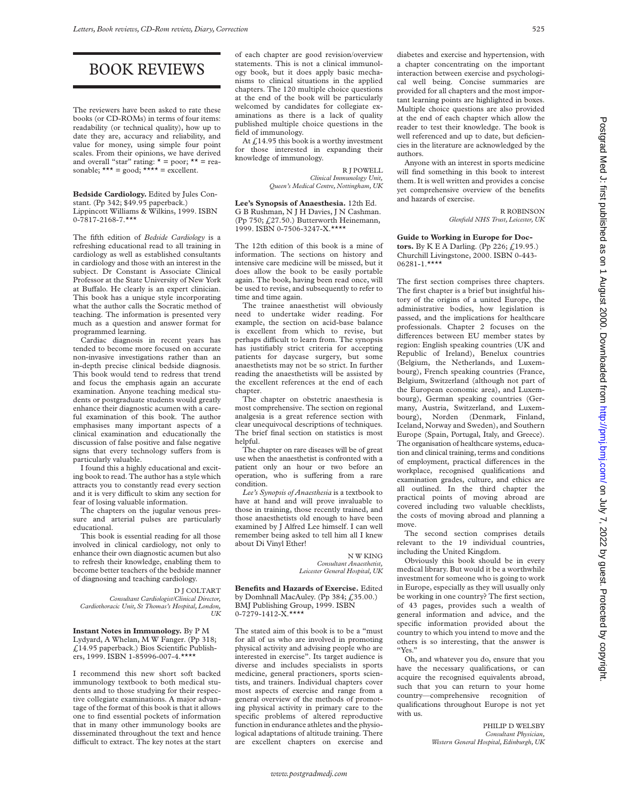# BOOK REVIEWS

The reviewers have been asked to rate these books (or CD-ROMs) in terms of four items: readability (or technical quality), how up to date they are, accuracy and reliability, and value for money, using simple four point scales. From their opinions, we have derived and overall "star" rating:  $\star$  = poor;  $\star \star$  = reasonable;  $*** = \text{good}$ ;  $*** = \text{excellent}$ .

**Bedside Cardiology.** Edited by Jules Constant. (Pp 342; \$49.95 paperback.) Lippincott Williams & Wilkins, 1999. ISBN  $0-7817-2168-7$ .\*\*\*

The fifth edition of *Bedside Cardiology* is a refreshing educational read to all training in cardiology as well as established consultants in cardiology and those with an interest in the subject. Dr Constant is Associate Clinical Professor at the State University of New York at Buffalo. He clearly is an expert clinician. This book has a unique style incorporating what the author calls the Socratic method of teaching. The information is presented very much as a question and answer format for programmed learning.

Cardiac diagnosis in recent years has tended to become more focused on accurate non-invasive investigations rather than an in-depth precise clinical bedside diagnosis. This book would tend to redress that trend and focus the emphasis again an accurate examination. Anyone teaching medical students or postgraduate students would greatly enhance their diagnostic acumen with a careful examination of this book. The author emphasises many important aspects of a clinical examination and educationally the discussion of false positive and false negative signs that every technology suffers from is particularly valuable.

I found this a highly educational and exciting book to read. The author has a style which attracts you to constantly read every section and it is very difficult to skim any section for fear of losing valuable information.

The chapters on the jugular venous pressure and arterial pulses are particularly educational.

This book is essential reading for all those involved in clinical cardiology, not only to enhance their own diagnostic acumen but also to refresh their knowledge, enabling them to become better teachers of the bedside manner of diagnosing and teaching cardiology.

D J COLTART *Consultant Cardiologist/Clinical Director, Cardiothoracic Unit, St Thomas's Hospital, London,*  $U\overline{K}$ 

**Instant Notes in Immunology.** By P M Lydyard, A Whelan, M W Fanger. (Pp 318; £14.95 paperback.) Bios Scientific Publishers, 1999. ISBN 1-85996-007-4.\*\*\*\*

I recommend this new short soft backed immunology textbook to both medical students and to those studying for their respective collegiate examinations. A major advantage of the format of this book is that it allows one to find essential pockets of information that in many other immunology books are disseminated throughout the text and hence difficult to extract. The key notes at the start

of each chapter are good revision/overview statements. This is not a clinical immunology book, but it does apply basic mechanisms to clinical situations in the applied chapters. The 120 multiple choice questions at the end of the book will be particularly welcomed by candidates for collegiate examinations as there is a lack of quality published multiple choice questions in the field of immunology.

At  $f<sub>i</sub>$  14.95 this book is a worthy investment for those interested in expanding their knowledge of immunology.

> R J POWELL *Clinical Immunology Unit, Queen's Medical Centre, Nottingham, UK*

**Lee's Synopsis of Anaesthesia.** 12th Ed. G B Rushman, N J H Davies, J N Cashman. (Pp 750; £27.50.) Butterworth Heinemann, 1999. ISBN 0-7506-3247-X.\*\*\*\*

The 12th edition of this book is a mine of information. The sections on history and intensive care medicine will be missed, but it does allow the book to be easily portable again. The book, having been read once, will be used to revise, and subsequently to refer to time and time again.

The trainee anaesthetist will obviously need to undertake wider reading. For example, the section on acid-base balance is excellent from which to revise, but perhaps difficult to learn from. The synopsis has justifiably strict criteria for accepting patients for daycase surgery, but some anaesthetists may not be so strict. In further reading the anaesthetists will be assisted by the excellent references at the end of each chapter.

The chapter on obstetric anaesthesia is most comprehensive. The section on regional analgesia is a great reference section with clear unequivocal descriptions of techniques. The brief final section on statistics is most helpful.

The chapter on rare diseases will be of great use when the anaesthetist is confronted with a patient only an hour or two before an operation, who is suffering from a rare condition.

*Lee's Synopsis of Anaesthesia* is a textbook to have at hand and will prove invaluable to those in training, those recently trained, and those anaesthetists old enough to have been examined by J Alfred Lee himself. I can well remember being asked to tell him all I knew about Di Vinyl Ether!

> N W KING *Consultant Anaesthetist, Leicester General Hospital, UK*

**Benefits and Hazards of Exercise.** Edited by Domhnall MacAuley. (Pp 384; £35.00.) BMJ Publishing Group, 1999. ISBN 0-7279-1412-X.\*\*\*\*

The stated aim of this book is to be a "must for all of us who are involved in promoting physical activity and advising people who are interested in exercise". Its target audience is diverse and includes specialists in sports medicine, general practioners, sports scientists, and trainers. Individual chapters cover most aspects of exercise and range from a general overview of the methods of promoting physical activity in primary care to the specific problems of altered reproductive function in endurance athletes and the physiological adaptations of altitude training. There are excellent chapters on exercise and diabetes and exercise and hypertension, with a chapter concentrating on the important interaction between exercise and psychological well being. Concise summaries are provided for all chapters and the most important learning points are highlighted in boxes. Multiple choice questions are also provided at the end of each chapter which allow the reader to test their knowledge. The book is well referenced and up to date, but deficiencies in the literature are acknowledged by the authors.

Anyone with an interest in sports medicine will find something in this book to interest them. It is well written and provides a concise yet comprehensive overview of the benefits and hazards of exercise.

> R ROBINSON *Glenfield NHS Trust, Leicester, UK*

### **Guide to Working in Europe for Doctors.** By K E A Darling. (Pp 226;  $\zeta$ 19.95.) Churchill Livingstone, 2000. ISBN 0-443-  $06281 - 1.****$

The first section comprises three chapters. The first chapter is a brief but insightful history of the origins of a united Europe, the administrative bodies, how legislation is passed, and the implications for healthcare professionals. Chapter 2 focuses on the differences between EU member states by region: English speaking countries (UK and Republic of Ireland), Benelux countries (Belgium, the Netherlands, and Luxembourg), French speaking countries (France, Belgium, Switzerland (although not part of the European economic area), and Luxembourg), German speaking countries (Germany, Austria, Switzerland, and Luxembourg), Norden (Denmark, Finland, Iceland, Norway and Sweden), and Southern Europe (Spain, Portugal, Italy, and Greece). The organisation of healthcare systems, education and clinical training, terms and conditions of employment, practical differences in the workplace, recognised qualifications and examination grades, culture, and ethics are all outlined. In the third chapter the practical points of moving abroad are covered including two valuable checklists, the costs of moving abroad and planning a move.

The second section comprises details relevant to the 19 individual countries, including the United Kingdom.

Obviously this book should be in every medical library. But would it be a worthwhile investment for someone who is going to work in Europe, especially as they will usually only be working in one country? The first section, of 43 pages, provides such a wealth of general information and advice, and the specific information provided about the country to which you intend to move and the others is so interesting, that the answer is "Yes."

Oh, and whatever you do, ensure that you have the necessary qualifications, or can acquire the recognised equivalents abroad, such that you can return to your home country—comprehensive recognition of qualifications throughout Europe is not yet with us.

> PHILIP D WELSBY *Consultant Physician, Western General Hospital, Edinburgh, UK*